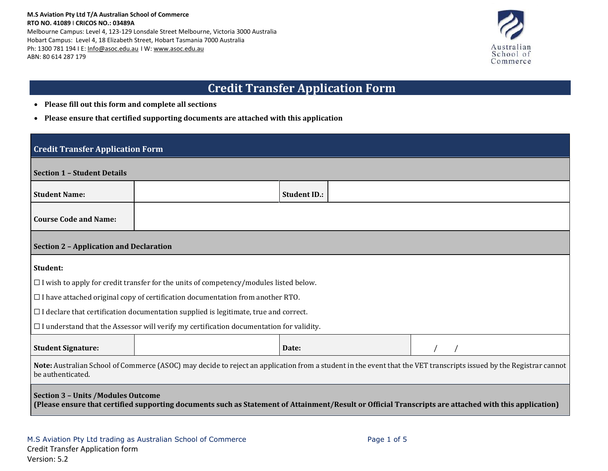

# **Credit Transfer Application Form**

- **Please fill out this form and complete all sections**
- **Please ensure that certified supporting documents are attached with this application**

## **Credit Transfer Application Form**

| <b>Section 1 - Student Details</b>                                                                                                                                                                 |                                                                                                |                     |  |  |  |  |  |
|----------------------------------------------------------------------------------------------------------------------------------------------------------------------------------------------------|------------------------------------------------------------------------------------------------|---------------------|--|--|--|--|--|
| <b>Student Name:</b>                                                                                                                                                                               |                                                                                                | <b>Student ID.:</b> |  |  |  |  |  |
| <b>Course Code and Name:</b>                                                                                                                                                                       |                                                                                                |                     |  |  |  |  |  |
| <b>Section 2 - Application and Declaration</b>                                                                                                                                                     |                                                                                                |                     |  |  |  |  |  |
| Student:                                                                                                                                                                                           |                                                                                                |                     |  |  |  |  |  |
|                                                                                                                                                                                                    | $\Box$ I wish to apply for credit transfer for the units of competency/modules listed below.   |                     |  |  |  |  |  |
|                                                                                                                                                                                                    | $\Box$ I have attached original copy of certification documentation from another RTO.          |                     |  |  |  |  |  |
|                                                                                                                                                                                                    | $\Box$ I declare that certification documentation supplied is legitimate, true and correct.    |                     |  |  |  |  |  |
|                                                                                                                                                                                                    | $\Box$ I understand that the Assessor will verify my certification documentation for validity. |                     |  |  |  |  |  |
| <b>Student Signature:</b>                                                                                                                                                                          |                                                                                                | Date:               |  |  |  |  |  |
| Note: Australian School of Commerce (ASOC) may decide to reject an application from a student in the event that the VET transcripts issued by the Registrar cannot<br>be authenticated.            |                                                                                                |                     |  |  |  |  |  |
| <b>Section 3 - Units /Modules Outcome</b><br>(Please ensure that certified supporting documents such as Statement of Attainment/Result or Official Transcripts are attached with this application) |                                                                                                |                     |  |  |  |  |  |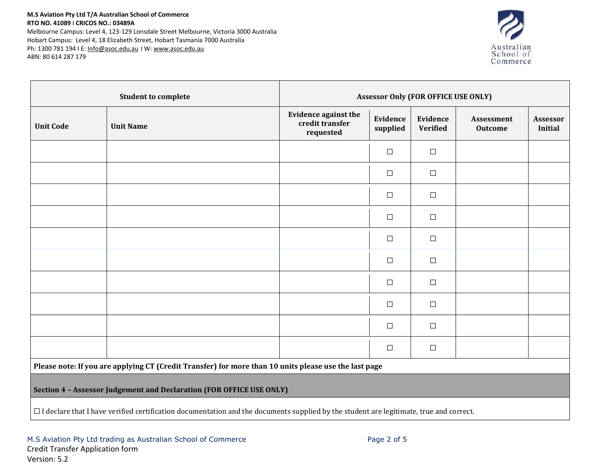#### **M.S Aviation Pty Ltd T/A Australian School of Commerce RTO NO. 41089** I **CRICOS NO.: 03489A**

Melbourne Campus: Level 4, 123-129 Lonsdale Street Melbourne, Victoria 3000 Australia Hobart Campus: Level 4, 18 Elizabeth Street, Hobart Tasmania 7000 Australia Ph: 1300 781 194 I E: [Info@asoc.edu.au](mailto:Info@asoc.edu.au) I W: [www.asoc.edu.au](http://www.asoc.edu.au/) ABN: 80 614 287 179



| <b>Student to complete</b> |                                                                                                       | <b>Assessor Only (FOR OFFICE USE ONLY)</b>                  |                             |                             |                              |                            |  |  |
|----------------------------|-------------------------------------------------------------------------------------------------------|-------------------------------------------------------------|-----------------------------|-----------------------------|------------------------------|----------------------------|--|--|
| <b>Unit Code</b>           | <b>Unit Name</b>                                                                                      | <b>Evidence against the</b><br>credit transfer<br>requested | <b>Evidence</b><br>supplied | Evidence<br><b>Verified</b> | Assessment<br><b>Outcome</b> | Assessor<br><b>Initial</b> |  |  |
|                            |                                                                                                       |                                                             | $\Box$                      | $\Box$                      |                              |                            |  |  |
|                            |                                                                                                       |                                                             | $\Box$                      | $\Box$                      |                              |                            |  |  |
|                            |                                                                                                       |                                                             | $\Box$                      | $\Box$                      |                              |                            |  |  |
|                            |                                                                                                       |                                                             | $\Box$                      | $\Box$                      |                              |                            |  |  |
|                            |                                                                                                       |                                                             | $\Box$                      | $\Box$                      |                              |                            |  |  |
|                            |                                                                                                       |                                                             | $\Box$                      | $\Box$                      |                              |                            |  |  |
|                            |                                                                                                       |                                                             | $\Box$                      | $\Box$                      |                              |                            |  |  |
|                            |                                                                                                       |                                                             | $\Box$                      | $\Box$                      |                              |                            |  |  |
|                            |                                                                                                       |                                                             | $\Box$                      | $\Box$                      |                              |                            |  |  |
|                            |                                                                                                       |                                                             | $\Box$                      | $\Box$                      |                              |                            |  |  |
|                            | Please note: If you are applying CT (Credit Transfer) for more than 10 units please use the last page |                                                             |                             |                             |                              |                            |  |  |

**Section 4 – Assessor Judgement and Declaration (FOR OFFICE USE ONLY)**

☐ I declare that I have verified certification documentation and the documents supplied by the student are legitimate, true and correct.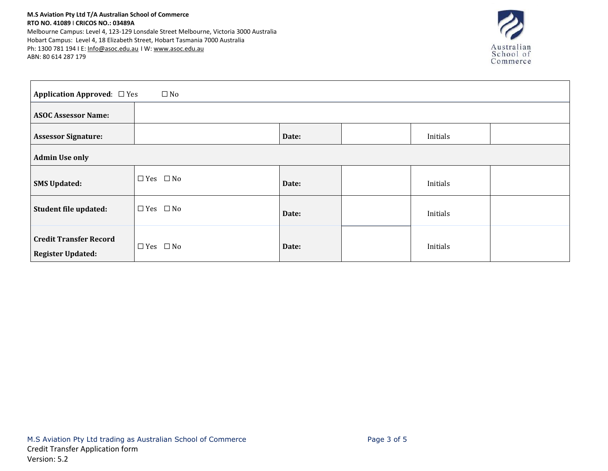#### **M.S Aviation Pty Ltd T/A Australian School of Commerce RTO NO. 41089** I **CRICOS NO.: 03489A**

Melbourne Campus: Level 4, 123-129 Lonsdale Street Melbourne, Victoria 3000 Australia Hobart Campus: Level 4, 18 Elizabeth Street, Hobart Tasmania 7000 Australia Ph: 1300 781 194 I E: [Info@asoc.edu.au](mailto:Info@asoc.edu.au) I W: [www.asoc.edu.au](http://www.asoc.edu.au/) ABN: 80 614 287 179



| <b>Application Approved:</b> □ Yes<br>$\Box$ No           |                      |       |  |          |  |  |  |
|-----------------------------------------------------------|----------------------|-------|--|----------|--|--|--|
| <b>ASOC Assessor Name:</b>                                |                      |       |  |          |  |  |  |
| <b>Assessor Signature:</b>                                |                      | Date: |  | Initials |  |  |  |
| <b>Admin Use only</b>                                     |                      |       |  |          |  |  |  |
| <b>SMS Updated:</b>                                       | $\Box$ Yes $\Box$ No | Date: |  | Initials |  |  |  |
| Student file updated:                                     | $\Box$ Yes $\Box$ No | Date: |  | Initials |  |  |  |
| <b>Credit Transfer Record</b><br><b>Register Updated:</b> | $\Box$ Yes $\Box$ No | Date: |  | Initials |  |  |  |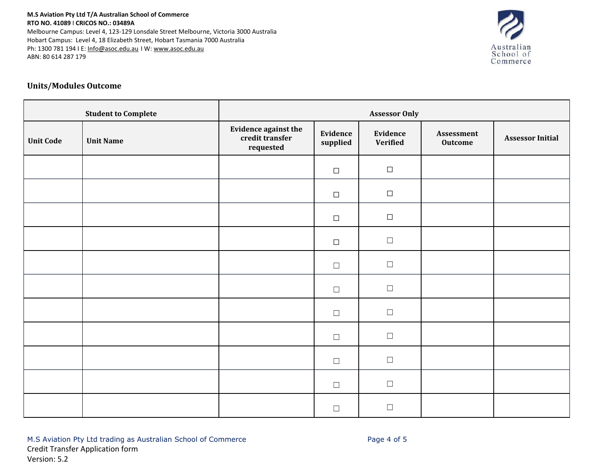#### **M.S Aviation Pty Ltd T/A Australian School of Commerce RTO NO. 41089** I **CRICOS NO.: 03489A** Melbourne Campus: Level 4, 123-129 Lonsdale Street Melbourne, Victoria 3000 Australia Hobart Campus: Level 4, 18 Elizabeth Street, Hobart Tasmania 7000 Australia Ph: 1300 781 194 I E: [Info@asoc.edu.au](mailto:Info@asoc.edu.au) I W: [www.asoc.edu.au](http://www.asoc.edu.au/)

ABN: 80 614 287 179

# Australian<br>School of<br>Commerce

### **Units/Modules Outcome**

| <b>Student to Complete</b> |                  | <b>Assessor Only</b>                                 |                      |                      |                              |                         |  |
|----------------------------|------------------|------------------------------------------------------|----------------------|----------------------|------------------------------|-------------------------|--|
| <b>Unit Code</b>           | <b>Unit Name</b> | Evidence against the<br>credit transfer<br>requested | Evidence<br>supplied | Evidence<br>Verified | Assessment<br><b>Outcome</b> | <b>Assessor Initial</b> |  |
|                            |                  |                                                      | $\Box$               | $\Box$               |                              |                         |  |
|                            |                  |                                                      | $\Box$               | $\Box$               |                              |                         |  |
|                            |                  |                                                      | $\Box$               | $\Box$               |                              |                         |  |
|                            |                  |                                                      | $\Box$               | $\Box$               |                              |                         |  |
|                            |                  |                                                      | $\Box$               | $\Box$               |                              |                         |  |
|                            |                  |                                                      | $\Box$               | $\hfill \square$     |                              |                         |  |
|                            |                  |                                                      | $\Box$               | $\Box$               |                              |                         |  |
|                            |                  |                                                      | $\Box$               | $\Box$               |                              |                         |  |
|                            |                  |                                                      | $\Box$               | $\Box$               |                              |                         |  |
|                            |                  |                                                      | $\Box$               | $\Box$               |                              |                         |  |
|                            |                  |                                                      | $\Box$               | $\Box$               |                              |                         |  |